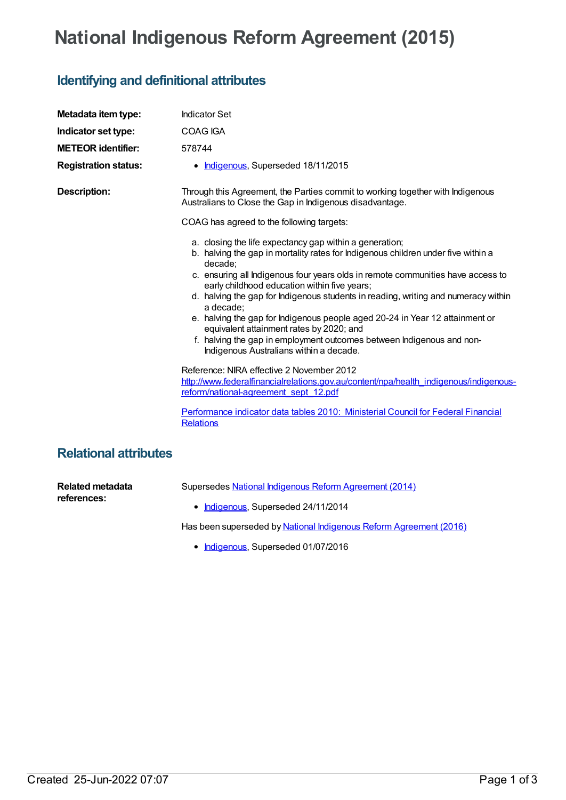## **National Indigenous Reform Agreement (2015)**

## **Identifying and definitional attributes**

| Metadata item type:                    | <b>Indicator Set</b>                                                                                                                                                                                                                                                                                                                                                                                                                                                                                                                                                                                                                                                                                                                                                                                                         |
|----------------------------------------|------------------------------------------------------------------------------------------------------------------------------------------------------------------------------------------------------------------------------------------------------------------------------------------------------------------------------------------------------------------------------------------------------------------------------------------------------------------------------------------------------------------------------------------------------------------------------------------------------------------------------------------------------------------------------------------------------------------------------------------------------------------------------------------------------------------------------|
| Indicator set type:                    | <b>COAG IGA</b>                                                                                                                                                                                                                                                                                                                                                                                                                                                                                                                                                                                                                                                                                                                                                                                                              |
| <b>METEOR</b> identifier:              | 578744                                                                                                                                                                                                                                                                                                                                                                                                                                                                                                                                                                                                                                                                                                                                                                                                                       |
| <b>Registration status:</b>            | Indigenous, Superseded 18/11/2015<br>٠                                                                                                                                                                                                                                                                                                                                                                                                                                                                                                                                                                                                                                                                                                                                                                                       |
| <b>Description:</b>                    | Through this Agreement, the Parties commit to working together with Indigenous<br>Australians to Close the Gap in Indigenous disadvantage.                                                                                                                                                                                                                                                                                                                                                                                                                                                                                                                                                                                                                                                                                   |
|                                        | COAG has agreed to the following targets:                                                                                                                                                                                                                                                                                                                                                                                                                                                                                                                                                                                                                                                                                                                                                                                    |
|                                        | a. closing the life expectancy gap within a generation;<br>b. halving the gap in mortality rates for Indigenous children under five within a<br>decade;<br>c. ensuring all Indigenous four years olds in remote communities have access to<br>early childhood education within five years;<br>d. halving the gap for Indigenous students in reading, writing and numeracy within<br>a decade;<br>e. halving the gap for Indigenous people aged 20-24 in Year 12 attainment or<br>equivalent attainment rates by 2020; and<br>f. halving the gap in employment outcomes between Indigenous and non-<br>Indigenous Australians within a decade.<br>Reference: NIRA effective 2 November 2012<br>http://www.federalfinancialrelations.gov.au/content/npa/health_indigenous/indigenous-<br>reform/national-agreement sept 12.pdf |
|                                        | Performance indicator data tables 2010: Ministerial Council for Federal Financial<br><b>Relations</b>                                                                                                                                                                                                                                                                                                                                                                                                                                                                                                                                                                                                                                                                                                                        |
| <b>Relational attributes</b>           |                                                                                                                                                                                                                                                                                                                                                                                                                                                                                                                                                                                                                                                                                                                                                                                                                              |
| <b>Related metadata</b><br>references: | Supersedes National Indigenous Reform Agreement (2014)                                                                                                                                                                                                                                                                                                                                                                                                                                                                                                                                                                                                                                                                                                                                                                       |

• [Indigenous](https://meteor.aihw.gov.au/RegistrationAuthority/6), Superseded 24/11/2014

Has been superseded by National Indigenous Reform [Agreement](https://meteor.aihw.gov.au/content/611122) (2016)

• [Indigenous](https://meteor.aihw.gov.au/RegistrationAuthority/6), Superseded 01/07/2016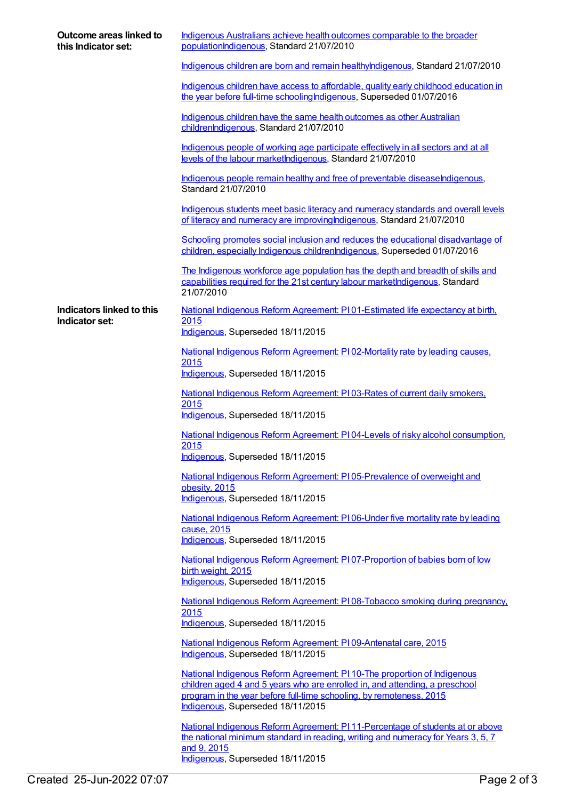| Outcome areas linked to<br>this Indicator set: | Indigenous Australians achieve health outcomes comparable to the broader<br>populationIndigenous, Standard 21/07/2010                                                                                                                                               |
|------------------------------------------------|---------------------------------------------------------------------------------------------------------------------------------------------------------------------------------------------------------------------------------------------------------------------|
|                                                | Indigenous children are born and remain healthylndigenous, Standard 21/07/2010                                                                                                                                                                                      |
|                                                | Indigenous children have access to affordable, quality early childhood education in<br>the year before full-time schooling Indigenous, Superseded 01/07/2016                                                                                                        |
|                                                | Indigenous children have the same health outcomes as other Australian<br>childrenIndigenous, Standard 21/07/2010                                                                                                                                                    |
|                                                | Indigenous people of working age participate effectively in all sectors and at all<br>levels of the labour marketIndigenous, Standard 21/07/2010                                                                                                                    |
|                                                | Indigenous people remain healthy and free of preventable diseaseIndigenous,<br>Standard 21/07/2010                                                                                                                                                                  |
|                                                | Indigenous students meet basic literacy and numeracy standards and overall levels<br>of literacy and numeracy are improving Indigenous, Standard 21/07/2010                                                                                                         |
|                                                | Schooling promotes social inclusion and reduces the educational disadvantage of<br>children, especially Indigenous childrenIndigenous, Superseded 01/07/2016                                                                                                        |
|                                                | The Indigenous workforce age population has the depth and breadth of skills and<br>capabilities required for the 21st century labour marketIndigenous, Standard<br>21/07/2010                                                                                       |
| Indicators linked to this                      | National Indigenous Reform Agreement: PI01-Estimated life expectancy at birth.                                                                                                                                                                                      |
| Indicator set:                                 | 2015<br>Indigenous, Superseded 18/11/2015                                                                                                                                                                                                                           |
|                                                | National Indigenous Reform Agreement: PI02-Mortality rate by leading causes.<br>2015                                                                                                                                                                                |
|                                                | Indigenous, Superseded 18/11/2015                                                                                                                                                                                                                                   |
|                                                | National Indigenous Reform Agreement: P103-Rates of current daily smokers,<br>2015<br>Indigenous, Superseded 18/11/2015                                                                                                                                             |
|                                                | National Indigenous Reform Agreement: PI04-Levels of risky alcohol consumption,                                                                                                                                                                                     |
|                                                | 2015<br>Indigenous, Superseded 18/11/2015                                                                                                                                                                                                                           |
|                                                | National Indigenous Reform Agreement: PI05-Prevalence of overweight and                                                                                                                                                                                             |
|                                                | obesity, 2015<br>Indigenous, Superseded 18/11/2015                                                                                                                                                                                                                  |
|                                                | National Indigenous Reform Agreement: PI06-Under five mortality rate by leading<br>cause, 2015<br>Indigenous, Superseded 18/11/2015                                                                                                                                 |
|                                                | National Indigenous Reform Agreement: PI07-Proportion of babies born of low                                                                                                                                                                                         |
|                                                | birth weight, 2015<br>Indigenous, Superseded 18/11/2015                                                                                                                                                                                                             |
|                                                | National Indigenous Reform Agreement: PI08-Tobacco smoking during pregnancy,<br>2015<br>Indigenous, Superseded 18/11/2015                                                                                                                                           |
|                                                |                                                                                                                                                                                                                                                                     |
|                                                | National Indigenous Reform Agreement: PI09-Antenatal care, 2015<br>Indigenous, Superseded 18/11/2015                                                                                                                                                                |
|                                                | National Indigenous Reform Agreement: PI 10-The proportion of Indigenous<br>children aged 4 and 5 years who are enrolled in, and attending, a preschool<br>program in the year before full-time schooling, by remoteness, 2015<br>Indigenous, Superseded 18/11/2015 |
|                                                | National Indigenous Reform Agreement: PI 11-Percentage of students at or above<br>the national minimum standard in reading, writing and numeracy for Years 3, 5, 7<br>and 9, 2015                                                                                   |
|                                                | Indigenous, Superseded 18/11/2015                                                                                                                                                                                                                                   |